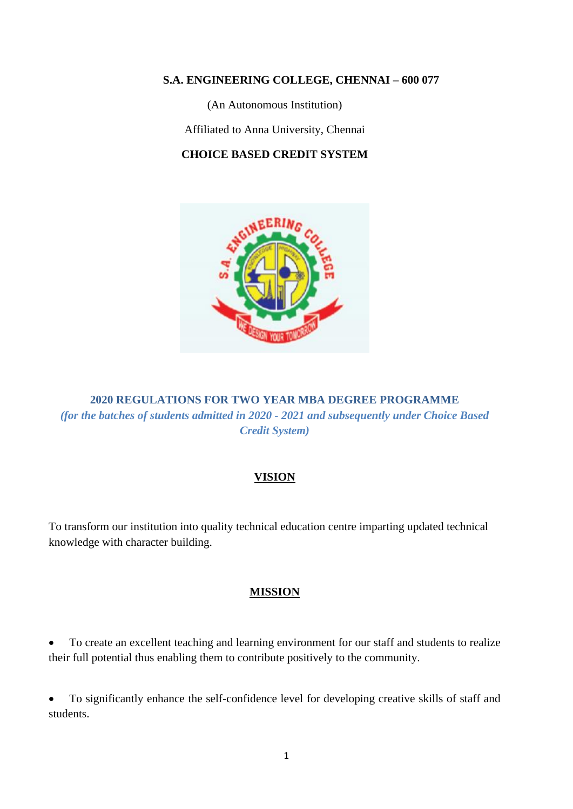#### **S.A. ENGINEERING COLLEGE, CHENNAI – 600 077**

(An Autonomous Institution)

Affiliated to Anna University, Chennai

## **CHOICE BASED CREDIT SYSTEM**



**2020 REGULATIONS FOR TWO YEAR MBA DEGREE PROGRAMME** *(for the batches of students admitted in 2020 - 2021 and subsequently under Choice Based Credit System)*

## **VISION**

To transform our institution into quality technical education centre imparting updated technical knowledge with character building.

#### **MISSION**

• To create an excellent teaching and learning environment for our staff and students to realize their full potential thus enabling them to contribute positively to the community.

• To significantly enhance the self-confidence level for developing creative skills of staff and students.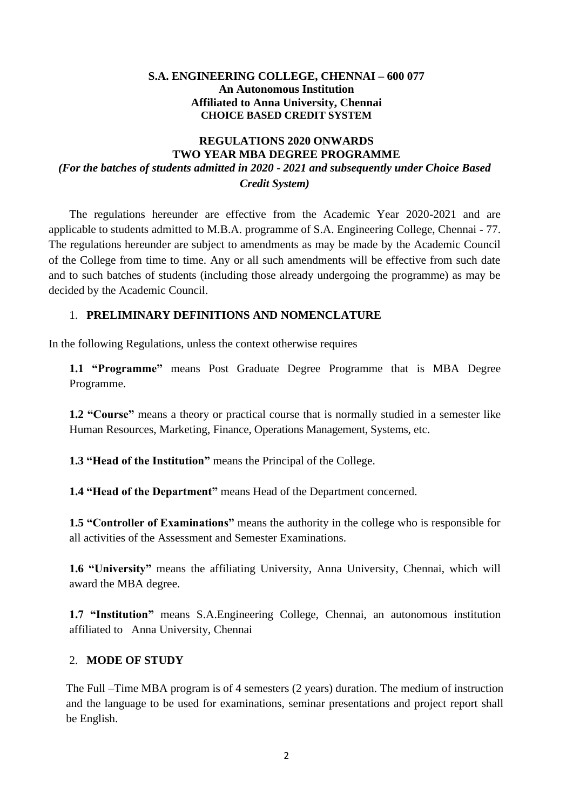#### **S.A. ENGINEERING COLLEGE, CHENNAI – 600 077 An Autonomous Institution Affiliated to Anna University, Chennai CHOICE BASED CREDIT SYSTEM**

# **REGULATIONS 2020 ONWARDS TWO YEAR MBA DEGREE PROGRAMME** *(For the batches of students admitted in 2020 - 2021 and subsequently under Choice Based Credit System)*

The regulations hereunder are effective from the Academic Year 2020-2021 and are applicable to students admitted to M.B.A. programme of S.A. Engineering College, Chennai - 77. The regulations hereunder are subject to amendments as may be made by the Academic Council of the College from time to time. Any or all such amendments will be effective from such date and to such batches of students (including those already undergoing the programme) as may be decided by the Academic Council.

## 1. **PRELIMINARY DEFINITIONS AND NOMENCLATURE**

In the following Regulations, unless the context otherwise requires

**1.1 "Programme"** means Post Graduate Degree Programme that is MBA Degree Programme.

**1.2 "Course"** means a theory or practical course that is normally studied in a semester like Human Resources, Marketing, Finance, Operations Management, Systems, etc.

**1.3 "Head of the Institution"** means the Principal of the College.

**1.4 "Head of the Department"** means Head of the Department concerned.

**1.5 "Controller of Examinations"** means the authority in the college who is responsible for all activities of the Assessment and Semester Examinations.

**1.6 "University"** means the affiliating University, Anna University, Chennai, which will award the MBA degree.

**1.7 "Institution"** means S.A.Engineering College, Chennai, an autonomous institution affiliated toAnna University, Chennai

#### 2. **MODE OF STUDY**

The Full –Time MBA program is of 4 semesters (2 years) duration. The medium of instruction and the language to be used for examinations, seminar presentations and project report shall be English.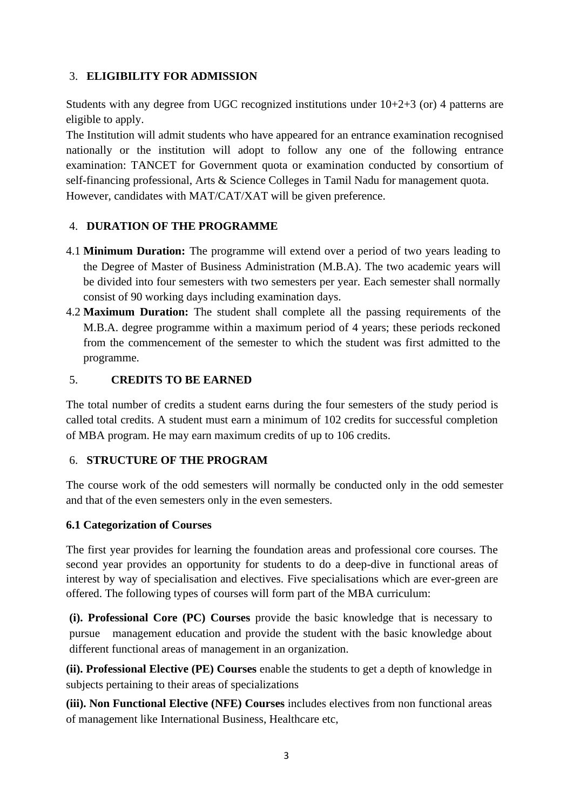# 3. **ELIGIBILITY FOR ADMISSION**

Students with any degree from UGC recognized institutions under 10+2+3 (or) 4 patterns are eligible to apply.

The Institution will admit students who have appeared for an entrance examination recognised nationally or the institution will adopt to follow any one of the following entrance examination: TANCET for Government quota or examination conducted by consortium of self-financing professional, Arts & Science Colleges in Tamil Nadu for management quota. However, candidates with MAT/CAT/XAT will be given preference.

# 4. **DURATION OF THE PROGRAMME**

- 4.1 **Minimum Duration:** The programme will extend over a period of two years leading to the Degree of Master of Business Administration (M.B.A). The two academic years will be divided into four semesters with two semesters per year. Each semester shall normally consist of 90 working days including examination days.
- 4.2 **Maximum Duration:** The student shall complete all the passing requirements of the M.B.A. degree programme within a maximum period of 4 years; these periods reckoned from the commencement of the semester to which the student was first admitted to the programme.

# 5. **CREDITS TO BE EARNED**

The total number of credits a student earns during the four semesters of the study period is called total credits. A student must earn a minimum of 102 credits for successful completion of MBA program. He may earn maximum credits of up to 106 credits.

## 6. **STRUCTURE OF THE PROGRAM**

The course work of the odd semesters will normally be conducted only in the odd semester and that of the even semesters only in the even semesters.

## **6.1 Categorization of Courses**

The first year provides for learning the foundation areas and professional core courses. The second year provides an opportunity for students to do a deep-dive in functional areas of interest by way of specialisation and electives. Five specialisations which are ever-green are offered. The following types of courses will form part of the MBA curriculum:

**(i). Professional Core (PC) Courses** provide the basic knowledge that is necessary to pursue management education and provide the student with the basic knowledge about different functional areas of management in an organization.

**(ii). Professional Elective (PE) Courses** enable the students to get a depth of knowledge in subjects pertaining to their areas of specializations

**(iii). Non Functional Elective (NFE) Courses** includes electives from non functional areas of management like International Business, Healthcare etc,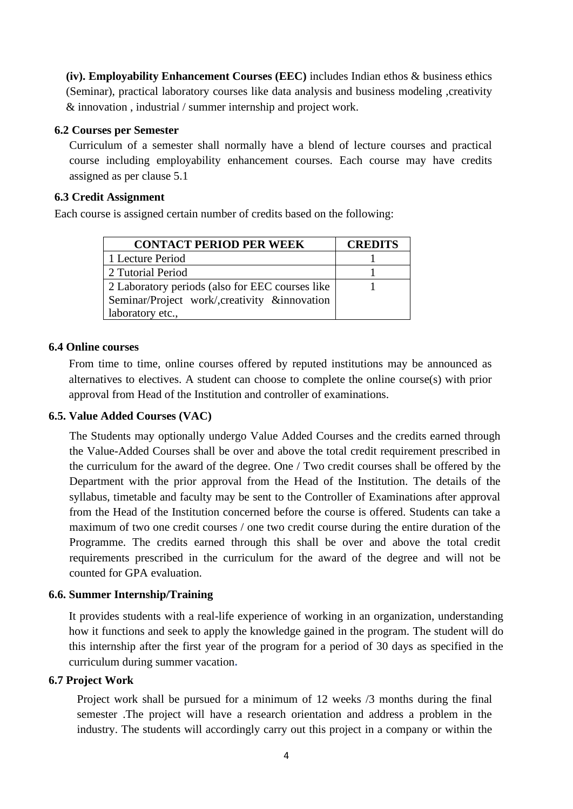**(iv). Employability Enhancement Courses (EEC)** includes Indian ethos & business ethics (Seminar), practical laboratory courses like data analysis and business modeling ,creativity & innovation , industrial / summer internship and project work.

#### **6.2 Courses per Semester**

Curriculum of a semester shall normally have a blend of lecture courses and practical course including employability enhancement courses. Each course may have credits assigned as per clause 5.1

#### **6.3 Credit Assignment**

Each course is assigned certain number of credits based on the following:

| <b>CONTACT PERIOD PER WEEK</b>                  | <b>CREDITS</b> |
|-------------------------------------------------|----------------|
| 1 Lecture Period                                |                |
| 2 Tutorial Period                               |                |
| 2 Laboratory periods (also for EEC courses like |                |
| Seminar/Project work/, creativity & innovation  |                |
| laboratory etc.,                                |                |

#### **6.4 Online courses**

From time to time, online courses offered by reputed institutions may be announced as alternatives to electives. A student can choose to complete the online course(s) with prior approval from Head of the Institution and controller of examinations.

#### **6.5. Value Added Courses (VAC)**

The Students may optionally undergo Value Added Courses and the credits earned through the Value-Added Courses shall be over and above the total credit requirement prescribed in the curriculum for the award of the degree. One / Two credit courses shall be offered by the Department with the prior approval from the Head of the Institution. The details of the syllabus, timetable and faculty may be sent to the Controller of Examinations after approval from the Head of the Institution concerned before the course is offered. Students can take a maximum of two one credit courses / one two credit course during the entire duration of the Programme. The credits earned through this shall be over and above the total credit requirements prescribed in the curriculum for the award of the degree and will not be counted for GPA evaluation.

#### **6.6. Summer Internship/Training**

It provides students with a real-life experience of working in an organization, understanding how it functions and seek to apply the knowledge gained in the program. The student will do this internship after the first year of the program for a period of 30 days as specified in the curriculum during summer vacation**.** 

## **6.7 Project Work**

Project work shall be pursued for a minimum of 12 weeks /3 months during the final semester .The project will have a research orientation and address a problem in the industry. The students will accordingly carry out this project in a company or within the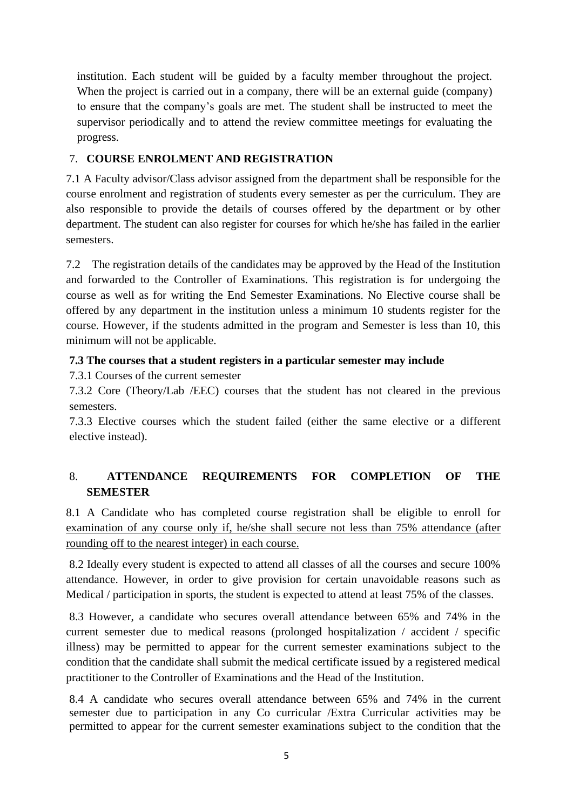institution. Each student will be guided by a faculty member throughout the project. When the project is carried out in a company, there will be an external guide (company) to ensure that the company's goals are met. The student shall be instructed to meet the supervisor periodically and to attend the review committee meetings for evaluating the progress.

# 7. **COURSE ENROLMENT AND REGISTRATION**

7.1 A Faculty advisor/Class advisor assigned from the department shall be responsible for the course enrolment and registration of students every semester as per the curriculum. They are also responsible to provide the details of courses offered by the department or by other department. The student can also register for courses for which he/she has failed in the earlier semesters.

7.2 The registration details of the candidates may be approved by the Head of the Institution and forwarded to the Controller of Examinations. This registration is for undergoing the course as well as for writing the End Semester Examinations. No Elective course shall be offered by any department in the institution unless a minimum 10 students register for the course. However, if the students admitted in the program and Semester is less than 10, this minimum will not be applicable.

# **7.3 The courses that a student registers in a particular semester may include**

7.3.1 Courses of the current semester

7.3.2 Core (Theory/Lab /EEC) courses that the student has not cleared in the previous semesters.

7.3.3 Elective courses which the student failed (either the same elective or a different elective instead).

# 8. **ATTENDANCE REQUIREMENTS FOR COMPLETION OF THE SEMESTER**

8.1 A Candidate who has completed course registration shall be eligible to enroll for examination of any course only if, he/she shall secure not less than 75% attendance (after rounding off to the nearest integer) in each course.

8.2 Ideally every student is expected to attend all classes of all the courses and secure 100% attendance. However, in order to give provision for certain unavoidable reasons such as Medical / participation in sports, the student is expected to attend at least 75% of the classes.

8.3 However, a candidate who secures overall attendance between 65% and 74% in the current semester due to medical reasons (prolonged hospitalization / accident / specific illness) may be permitted to appear for the current semester examinations subject to the condition that the candidate shall submit the medical certificate issued by a registered medical practitioner to the Controller of Examinations and the Head of the Institution.

8.4 A candidate who secures overall attendance between 65% and 74% in the current semester due to participation in any Co curricular /Extra Curricular activities may be permitted to appear for the current semester examinations subject to the condition that the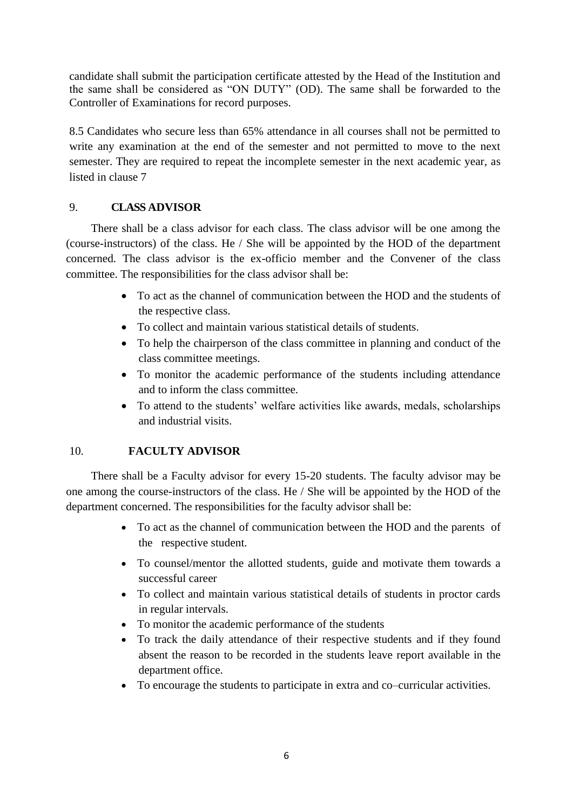candidate shall submit the participation certificate attested by the Head of the Institution and the same shall be considered as "ON DUTY" (OD). The same shall be forwarded to the Controller of Examinations for record purposes.

8.5 Candidates who secure less than 65% attendance in all courses shall not be permitted to write any examination at the end of the semester and not permitted to move to the next semester. They are required to repeat the incomplete semester in the next academic year, as listed in clause 7

## 9. **CLASS ADVISOR**

There shall be a class advisor for each class. The class advisor will be one among the (course-instructors) of the class. He / She will be appointed by the HOD of the department concerned. The class advisor is the ex-officio member and the Convener of the class committee. The responsibilities for the class advisor shall be:

- To act as the channel of communication between the HOD and the students of the respective class.
- To collect and maintain various statistical details of students.
- To help the chairperson of the class committee in planning and conduct of the class committee meetings.
- To monitor the academic performance of the students including attendance and to inform the class committee.
- To attend to the students' welfare activities like awards, medals, scholarships and industrial visits.

#### 10. **FACULTY ADVISOR**

There shall be a Faculty advisor for every 15-20 students. The faculty advisor may be one among the course-instructors of the class. He / She will be appointed by the HOD of the department concerned. The responsibilities for the faculty advisor shall be:

- To act as the channel of communication between the HOD and the parents of the respective student.
- To counsel/mentor the allotted students, guide and motivate them towards a successful career
- To collect and maintain various statistical details of students in proctor cards in regular intervals.
- To monitor the academic performance of the students
- To track the daily attendance of their respective students and if they found absent the reason to be recorded in the students leave report available in the department office.
- To encourage the students to participate in extra and co–curricular activities.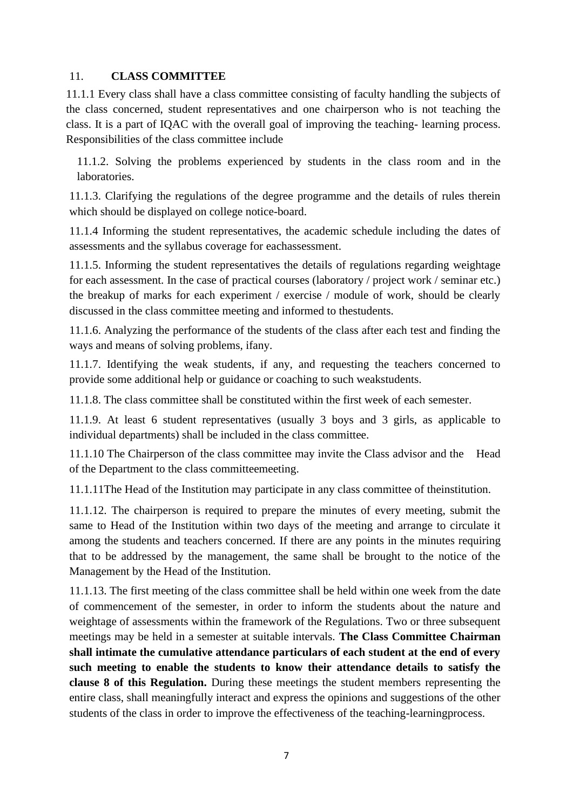## 11. **CLASS COMMITTEE**

11.1.1 Every class shall have a class committee consisting of faculty handling the subjects of the class concerned, student representatives and one chairperson who is not teaching the class. It is a part of IQAC with the overall goal of improving the teaching- learning process. Responsibilities of the class committee include

11.1.2. Solving the problems experienced by students in the class room and in the laboratories.

11.1.3. Clarifying the regulations of the degree programme and the details of rules therein which should be displayed on college notice-board.

11.1.4 Informing the student representatives, the academic schedule including the dates of assessments and the syllabus coverage for eachassessment.

11.1.5. Informing the student representatives the details of regulations regarding weightage for each assessment. In the case of practical courses (laboratory / project work / seminar etc.) the breakup of marks for each experiment / exercise / module of work, should be clearly discussed in the class committee meeting and informed to thestudents.

11.1.6. Analyzing the performance of the students of the class after each test and finding the ways and means of solving problems, ifany.

11.1.7. Identifying the weak students, if any, and requesting the teachers concerned to provide some additional help or guidance or coaching to such weakstudents.

11.1.8. The class committee shall be constituted within the first week of each semester.

11.1.9. At least 6 student representatives (usually 3 boys and 3 girls, as applicable to individual departments) shall be included in the class committee.

11.1.10 The Chairperson of the class committee may invite the Class advisor and the Head of the Department to the class committeemeeting.

11.1.11The Head of the Institution may participate in any class committee of theinstitution.

11.1.12. The chairperson is required to prepare the minutes of every meeting, submit the same to Head of the Institution within two days of the meeting and arrange to circulate it among the students and teachers concerned. If there are any points in the minutes requiring that to be addressed by the management, the same shall be brought to the notice of the Management by the Head of the Institution.

11.1.13. The first meeting of the class committee shall be held within one week from the date of commencement of the semester, in order to inform the students about the nature and weightage of assessments within the framework of the Regulations. Two or three subsequent meetings may be held in a semester at suitable intervals. **The Class Committee Chairman shall intimate the cumulative attendance particulars of each student at the end of every such meeting to enable the students to know their attendance details to satisfy the clause 8 of this Regulation.** During these meetings the student members representing the entire class, shall meaningfully interact and express the opinions and suggestions of the other students of the class in order to improve the effectiveness of the teaching-learningprocess.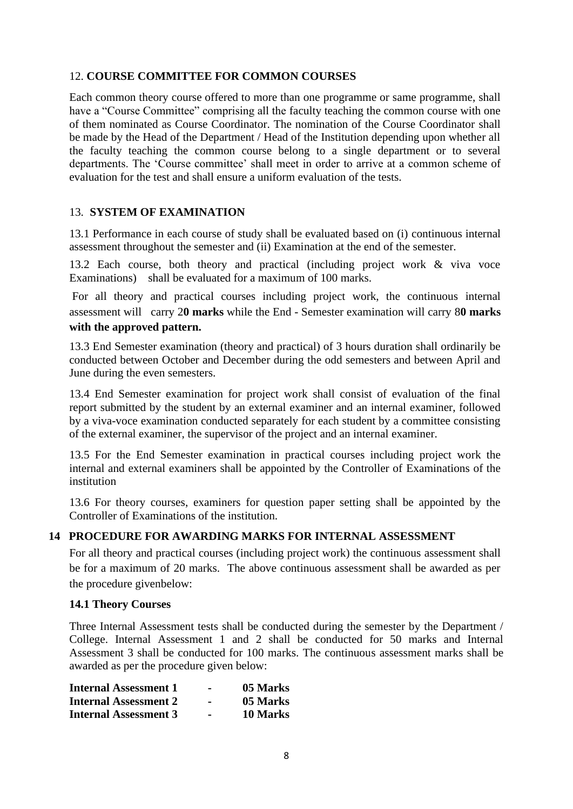## 12. **COURSE COMMITTEE FOR COMMON COURSES**

Each common theory course offered to more than one programme or same programme, shall have a "Course Committee" comprising all the faculty teaching the common course with one of them nominated as Course Coordinator. The nomination of the Course Coordinator shall be made by the Head of the Department / Head of the Institution depending upon whether all the faculty teaching the common course belong to a single department or to several departments. The 'Course committee' shall meet in order to arrive at a common scheme of evaluation for the test and shall ensure a uniform evaluation of the tests.

## 13. **SYSTEM OF EXAMINATION**

13.1 Performance in each course of study shall be evaluated based on (i) continuous internal assessment throughout the semester and (ii) Examination at the end of the semester.

13.2 Each course, both theory and practical (including project work & viva voce Examinations) shall be evaluated for a maximum of 100 marks.

For all theory and practical courses including project work, the continuous internal assessment will carry 2**0 marks** while the End - Semester examination will carry 8**0 marks with the approved pattern.**

13.3 End Semester examination (theory and practical) of 3 hours duration shall ordinarily be conducted between October and December during the odd semesters and between April and June during the even semesters.

13.4 End Semester examination for project work shall consist of evaluation of the final report submitted by the student by an external examiner and an internal examiner, followed by a viva-voce examination conducted separately for each student by a committee consisting of the external examiner, the supervisor of the project and an internal examiner.

13.5 For the End Semester examination in practical courses including project work the internal and external examiners shall be appointed by the Controller of Examinations of the institution

13.6 For theory courses, examiners for question paper setting shall be appointed by the Controller of Examinations of the institution.

#### **14 PROCEDURE FOR AWARDING MARKS FOR INTERNAL ASSESSMENT**

For all theory and practical courses (including project work) the continuous assessment shall be for a maximum of 20 marks. The above continuous assessment shall be awarded as per the procedure givenbelow:

#### **14.1 Theory Courses**

Three Internal Assessment tests shall be conducted during the semester by the Department / College. Internal Assessment 1 and 2 shall be conducted for 50 marks and Internal Assessment 3 shall be conducted for 100 marks. The continuous assessment marks shall be awarded as per the procedure given below:

| <b>Internal Assessment 1</b> | $\blacksquare$ | 05 Marks |
|------------------------------|----------------|----------|
| <b>Internal Assessment 2</b> | $\sim$         | 05 Marks |
| <b>Internal Assessment 3</b> | $\sim$         | 10 Marks |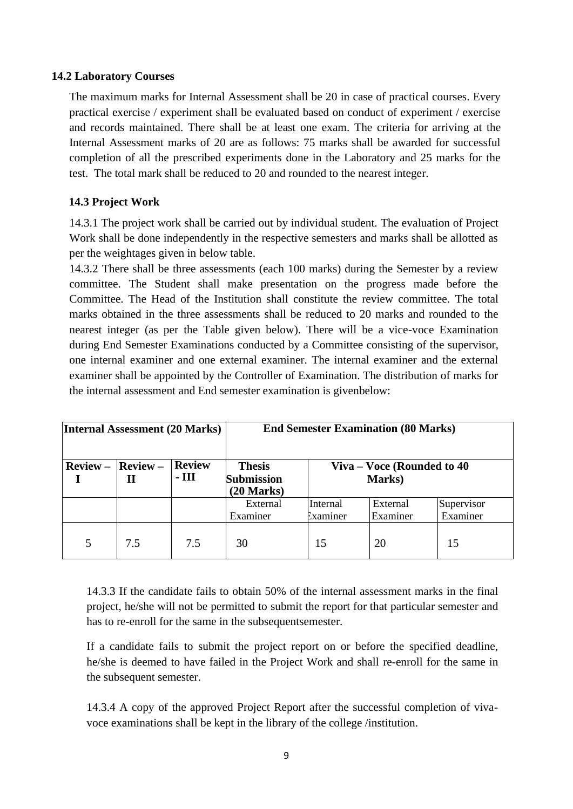## **14.2 Laboratory Courses**

The maximum marks for Internal Assessment shall be 20 in case of practical courses. Every practical exercise / experiment shall be evaluated based on conduct of experiment / exercise and records maintained. There shall be at least one exam. The criteria for arriving at the Internal Assessment marks of 20 are as follows: 75 marks shall be awarded for successful completion of all the prescribed experiments done in the Laboratory and 25 marks for the test. The total mark shall be reduced to 20 and rounded to the nearest integer.

# **14.3 Project Work**

14.3.1 The project work shall be carried out by individual student. The evaluation of Project Work shall be done independently in the respective semesters and marks shall be allotted as per the weightages given in below table.

14.3.2 There shall be three assessments (each 100 marks) during the Semester by a review committee. The Student shall make presentation on the progress made before the Committee. The Head of the Institution shall constitute the review committee. The total marks obtained in the three assessments shall be reduced to 20 marks and rounded to the nearest integer (as per the Table given below). There will be a vice-voce Examination during End Semester Examinations conducted by a Committee consisting of the supervisor, one internal examiner and one external examiner. The internal examiner and the external examiner shall be appointed by the Controller of Examination. The distribution of marks for the internal assessment and End semester examination is givenbelow:

| <b>Internal Assessment (20 Marks)</b> |                 | <b>End Semester Examination (80 Marks)</b> |                                                    |                                        |                      |                        |  |  |
|---------------------------------------|-----------------|--------------------------------------------|----------------------------------------------------|----------------------------------------|----------------------|------------------------|--|--|
| $Review -$                            | $Review -$<br>Н | <b>Review</b><br>$-III$                    | <b>Thesis</b><br><b>Submission</b><br>$(20$ Marks) | Viva – Voce (Rounded to $40$<br>Marks) |                      |                        |  |  |
|                                       |                 |                                            | External<br>Examiner                               | Internal<br>Examiner                   | External<br>Examiner | Supervisor<br>Examiner |  |  |
| 5                                     | 7.5             | 7.5                                        | 30                                                 | 15                                     | 20                   | 15                     |  |  |

14.3.3 If the candidate fails to obtain 50% of the internal assessment marks in the final project, he/she will not be permitted to submit the report for that particular semester and has to re-enroll for the same in the subsequentsemester.

If a candidate fails to submit the project report on or before the specified deadline, he/she is deemed to have failed in the Project Work and shall re-enroll for the same in the subsequent semester.

14.3.4 A copy of the approved Project Report after the successful completion of vivavoce examinations shall be kept in the library of the college /institution.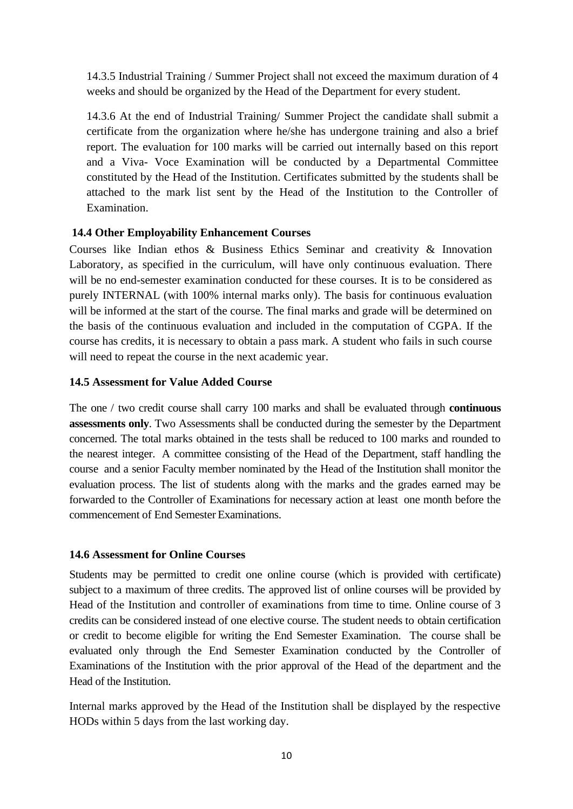14.3.5 Industrial Training / Summer Project shall not exceed the maximum duration of 4 weeks and should be organized by the Head of the Department for every student.

14.3.6 At the end of Industrial Training/ Summer Project the candidate shall submit a certificate from the organization where he/she has undergone training and also a brief report. The evaluation for 100 marks will be carried out internally based on this report and a Viva- Voce Examination will be conducted by a Departmental Committee constituted by the Head of the Institution. Certificates submitted by the students shall be attached to the mark list sent by the Head of the Institution to the Controller of Examination.

## **14.4 Other Employability Enhancement Courses**

Courses like Indian ethos & Business Ethics Seminar and creativity & Innovation Laboratory, as specified in the curriculum, will have only continuous evaluation. There will be no end-semester examination conducted for these courses. It is to be considered as purely INTERNAL (with 100% internal marks only). The basis for continuous evaluation will be informed at the start of the course. The final marks and grade will be determined on the basis of the continuous evaluation and included in the computation of CGPA. If the course has credits, it is necessary to obtain a pass mark. A student who fails in such course will need to repeat the course in the next academic year.

## **14.5 Assessment for Value Added Course**

The one / two credit course shall carry 100 marks and shall be evaluated through **continuous assessments only**. Two Assessments shall be conducted during the semester by the Department concerned. The total marks obtained in the tests shall be reduced to 100 marks and rounded to the nearest integer. A committee consisting of the Head of the Department, staff handling the course and a senior Faculty member nominated by the Head of the Institution shall monitor the evaluation process. The list of students along with the marks and the grades earned may be forwarded to the Controller of Examinations for necessary action at least one month before the commencement of End Semester Examinations.

#### **14.6 Assessment for Online Courses**

Students may be permitted to credit one online course (which is provided with certificate) subject to a maximum of three credits. The approved list of online courses will be provided by Head of the Institution and controller of examinations from time to time. Online course of 3 credits can be considered instead of one elective course. The student needs to obtain certification or credit to become eligible for writing the End Semester Examination. The course shall be evaluated only through the End Semester Examination conducted by the Controller of Examinations of the Institution with the prior approval of the Head of the department and the Head of the Institution.

Internal marks approved by the Head of the Institution shall be displayed by the respective HODs within 5 days from the last working day.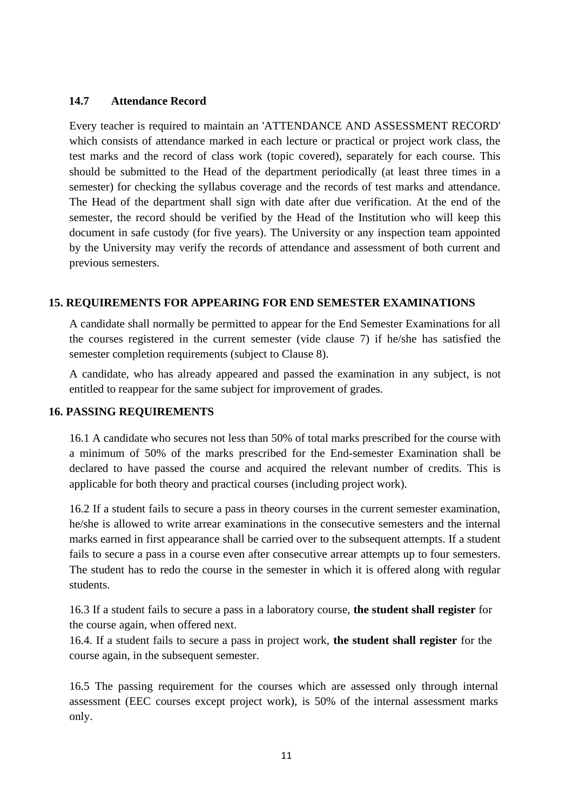## **14.7 Attendance Record**

Every teacher is required to maintain an 'ATTENDANCE AND ASSESSMENT RECORD' which consists of attendance marked in each lecture or practical or project work class, the test marks and the record of class work (topic covered), separately for each course. This should be submitted to the Head of the department periodically (at least three times in a semester) for checking the syllabus coverage and the records of test marks and attendance. The Head of the department shall sign with date after due verification. At the end of the semester, the record should be verified by the Head of the Institution who will keep this document in safe custody (for five years). The University or any inspection team appointed by the University may verify the records of attendance and assessment of both current and previous semesters.

## **15. REQUIREMENTS FOR APPEARING FOR END SEMESTER EXAMINATIONS**

A candidate shall normally be permitted to appear for the End Semester Examinations for all the courses registered in the current semester (vide clause 7) if he/she has satisfied the semester completion requirements (subject to Clause 8).

A candidate, who has already appeared and passed the examination in any subject, is not entitled to reappear for the same subject for improvement of grades.

#### **16. PASSING REQUIREMENTS**

16.1 A candidate who secures not less than 50% of total marks prescribed for the course with a minimum of 50% of the marks prescribed for the End-semester Examination shall be declared to have passed the course and acquired the relevant number of credits. This is applicable for both theory and practical courses (including project work).

16.2 If a student fails to secure a pass in theory courses in the current semester examination, he/she is allowed to write arrear examinations in the consecutive semesters and the internal marks earned in first appearance shall be carried over to the subsequent attempts. If a student fails to secure a pass in a course even after consecutive arrear attempts up to four semesters. The student has to redo the course in the semester in which it is offered along with regular students.

16.3 If a student fails to secure a pass in a laboratory course, **the student shall register** for the course again, when offered next.

16.4. If a student fails to secure a pass in project work, **the student shall register** for the course again, in the subsequent semester.

16.5 The passing requirement for the courses which are assessed only through internal assessment (EEC courses except project work), is 50% of the internal assessment marks only.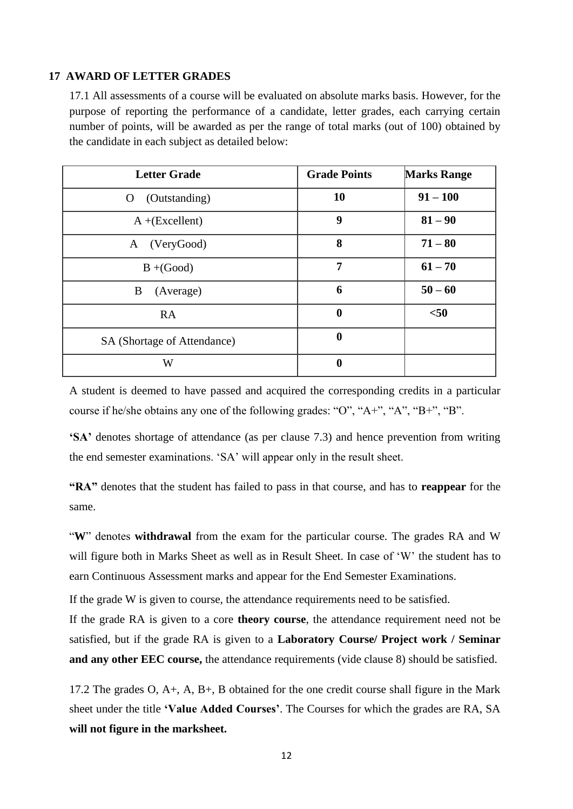#### **17 AWARD OF LETTER GRADES**

17.1 All assessments of a course will be evaluated on absolute marks basis. However, for the purpose of reporting the performance of a candidate, letter grades, each carrying certain number of points, will be awarded as per the range of total marks (out of 100) obtained by the candidate in each subject as detailed below:

| <b>Letter Grade</b>           | <b>Grade Points</b> | <b>Marks Range</b> |
|-------------------------------|---------------------|--------------------|
| (Outstanding)<br>$\mathbf{O}$ | 10                  | $91 - 100$         |
| $A + (Excellent)$             | 9                   | $81 - 90$          |
| A (VeryGood)                  | 8                   | $71 - 80$          |
| $B + (Good)$                  | 7                   | $61 - 70$          |
| B<br>(Average)                | 6                   | $50 - 60$          |
| <b>RA</b>                     | $\bf{0}$            | $50$               |
| SA (Shortage of Attendance)   | $\boldsymbol{0}$    |                    |
| W                             | $\bf{0}$            |                    |

A student is deemed to have passed and acquired the corresponding credits in a particular course if he/she obtains any one of the following grades: "O", "A+", "A", "B+", "B".

**'SA'** denotes shortage of attendance (as per clause 7.3) and hence prevention from writing the end semester examinations. 'SA' will appear only in the result sheet.

**"RA"** denotes that the student has failed to pass in that course, and has to **reappear** for the same.

"**W**" denotes **withdrawal** from the exam for the particular course. The grades RA and W will figure both in Marks Sheet as well as in Result Sheet. In case of 'W' the student has to earn Continuous Assessment marks and appear for the End Semester Examinations.

If the grade W is given to course, the attendance requirements need to be satisfied.

If the grade RA is given to a core **theory course**, the attendance requirement need not be satisfied, but if the grade RA is given to a **Laboratory Course/ Project work / Seminar and any other EEC course,** the attendance requirements (vide clause 8) should be satisfied.

17.2 The grades O, A+, A, B+, B obtained for the one credit course shall figure in the Mark sheet under the title **'Value Added Courses'**. The Courses for which the grades are RA, SA **will not figure in the marksheet.**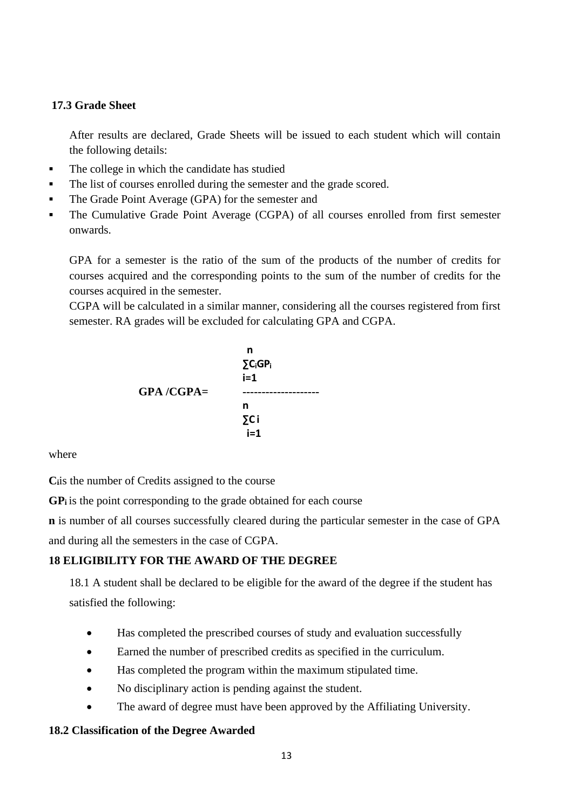## **17.3 Grade Sheet**

After results are declared, Grade Sheets will be issued to each student which will contain the following details:

- The college in which the candidate has studied
- The list of courses enrolled during the semester and the grade scored.
- The Grade Point Average (GPA) for the semester and
- The Cumulative Grade Point Average (CGPA) of all courses enrolled from first semester onwards.

GPA for a semester is the ratio of the sum of the products of the number of credits for courses acquired and the corresponding points to the sum of the number of credits for the courses acquired in the semester.

CGPA will be calculated in a similar manner, considering all the courses registered from first semester. RA grades will be excluded for calculating GPA and CGPA.



where

Ciis the number of Credits assigned to the course

**GP<sup>i</sup>** is the point corresponding to the grade obtained for each course

**n** is number of all courses successfully cleared during the particular semester in the case of GPA and during all the semesters in the case of CGPA.

#### **18 ELIGIBILITY FOR THE AWARD OF THE DEGREE**

18.1 A student shall be declared to be eligible for the award of the degree if the student has satisfied the following:

- Has completed the prescribed courses of study and evaluation successfully
- Earned the number of prescribed credits as specified in the curriculum.
- Has completed the program within the maximum stipulated time.
- No disciplinary action is pending against the student.
- The award of degree must have been approved by the Affiliating University.

#### **18.2 Classification of the Degree Awarded**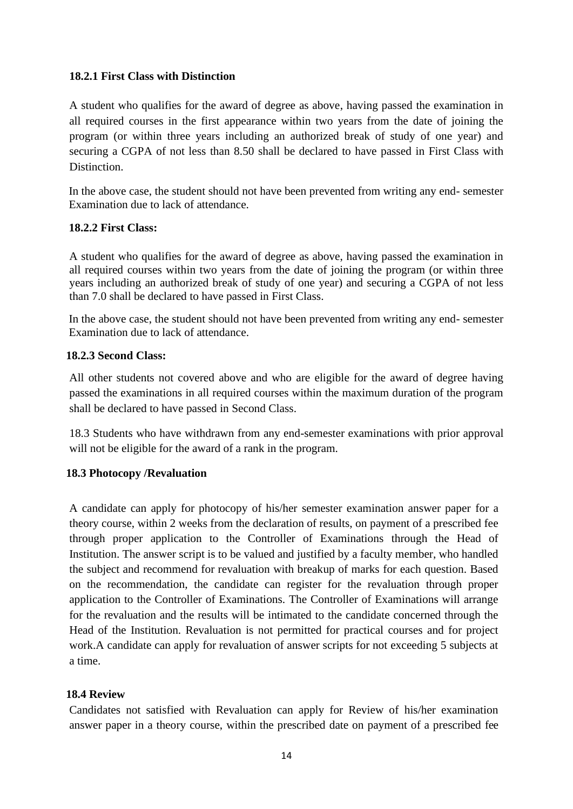## **18.2.1 First Class with Distinction**

A student who qualifies for the award of degree as above, having passed the examination in all required courses in the first appearance within two years from the date of joining the program (or within three years including an authorized break of study of one year) and securing a CGPA of not less than 8.50 shall be declared to have passed in First Class with Distinction.

In the above case, the student should not have been prevented from writing any end- semester Examination due to lack of attendance.

## **18.2.2 First Class:**

A student who qualifies for the award of degree as above, having passed the examination in all required courses within two years from the date of joining the program (or within three years including an authorized break of study of one year) and securing a CGPA of not less than 7.0 shall be declared to have passed in First Class.

In the above case, the student should not have been prevented from writing any end- semester Examination due to lack of attendance.

## **18.2.3 Second Class:**

All other students not covered above and who are eligible for the award of degree having passed the examinations in all required courses within the maximum duration of the program shall be declared to have passed in Second Class.

18.3 Students who have withdrawn from any end-semester examinations with prior approval will not be eligible for the award of a rank in the program.

## **18.3 Photocopy /Revaluation**

A candidate can apply for photocopy of his/her semester examination answer paper for a theory course, within 2 weeks from the declaration of results, on payment of a prescribed fee through proper application to the Controller of Examinations through the Head of Institution. The answer script is to be valued and justified by a faculty member, who handled the subject and recommend for revaluation with breakup of marks for each question. Based on the recommendation, the candidate can register for the revaluation through proper application to the Controller of Examinations. The Controller of Examinations will arrange for the revaluation and the results will be intimated to the candidate concerned through the Head of the Institution. Revaluation is not permitted for practical courses and for project work.A candidate can apply for revaluation of answer scripts for not exceeding 5 subjects at a time.

#### **18.4 Review**

Candidates not satisfied with Revaluation can apply for Review of his/her examination answer paper in a theory course, within the prescribed date on payment of a prescribed fee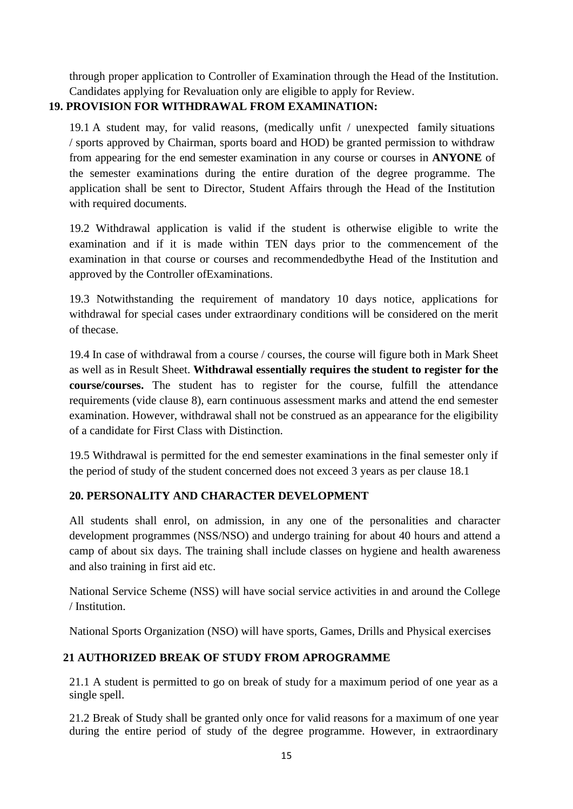through proper application to Controller of Examination through the Head of the Institution. Candidates applying for Revaluation only are eligible to apply for Review.

# **19. PROVISION FOR WITHDRAWAL FROM EXAMINATION:**

19.1 A student may, for valid reasons, (medically unfit / unexpected family situations / sports approved by Chairman, sports board and HOD) be granted permission to withdraw from appearing for the end semester examination in any course or courses in **ANYONE** of the semester examinations during the entire duration of the degree programme. The application shall be sent to Director, Student Affairs through the Head of the Institution with required documents.

19.2 Withdrawal application is valid if the student is otherwise eligible to write the examination and if it is made within TEN days prior to the commencement of the examination in that course or courses and recommendedbythe Head of the Institution and approved by the Controller ofExaminations.

19.3 Notwithstanding the requirement of mandatory 10 days notice, applications for withdrawal for special cases under extraordinary conditions will be considered on the merit of thecase.

19.4 In case of withdrawal from a course / courses, the course will figure both in Mark Sheet as well as in Result Sheet. **Withdrawal essentially requires the student to register for the course/courses.** The student has to register for the course, fulfill the attendance requirements (vide clause 8), earn continuous assessment marks and attend the end semester examination. However, withdrawal shall not be construed as an appearance for the eligibility of a candidate for First Class with Distinction.

19.5 Withdrawal is permitted for the end semester examinations in the final semester only if the period of study of the student concerned does not exceed 3 years as per clause 18.1

# **20. PERSONALITY AND CHARACTER DEVELOPMENT**

All students shall enrol, on admission, in any one of the personalities and character development programmes (NSS/NSO) and undergo training for about 40 hours and attend a camp of about six days. The training shall include classes on hygiene and health awareness and also training in first aid etc.

National Service Scheme (NSS) will have social service activities in and around the College / Institution.

National Sports Organization (NSO) will have sports, Games, Drills and Physical exercises

# **21 AUTHORIZED BREAK OF STUDY FROM APROGRAMME**

21.1 A student is permitted to go on break of study for a maximum period of one year as a single spell.

21.2 Break of Study shall be granted only once for valid reasons for a maximum of one year during the entire period of study of the degree programme. However, in extraordinary